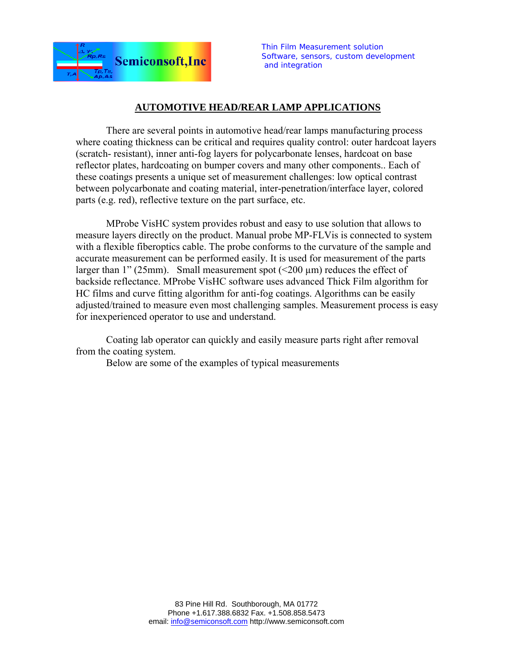

*Thin Film Measurement solution Software, sensors, custom development and integration*

## **AUTOMOTIVE HEAD/REAR LAMP APPLICATIONS**

There are several points in automotive head/rear lamps manufacturing process where coating thickness can be critical and requires quality control: outer hardcoat layers (scratch- resistant), inner anti-fog layers for polycarbonate lenses, hardcoat on base reflector plates, hardcoating on bumper covers and many other components.. Each of these coatings presents a unique set of measurement challenges: low optical contrast between polycarbonate and coating material, inter-penetration/interface layer, colored parts (e.g. red), reflective texture on the part surface, etc.

MProbe VisHC system provides robust and easy to use solution that allows to measure layers directly on the product. Manual probe MP-FLVis is connected to system with a flexible fiberoptics cable. The probe conforms to the curvature of the sample and accurate measurement can be performed easily. It is used for measurement of the parts larger than 1" (25mm). Small measurement spot  $(200 \mu m)$  reduces the effect of backside reflectance. MProbe VisHC software uses advanced Thick Film algorithm for HC films and curve fitting algorithm for anti-fog coatings. Algorithms can be easily adjusted/trained to measure even most challenging samples. Measurement process is easy for inexperienced operator to use and understand.

Coating lab operator can quickly and easily measure parts right after removal from the coating system.

Below are some of the examples of typical measurements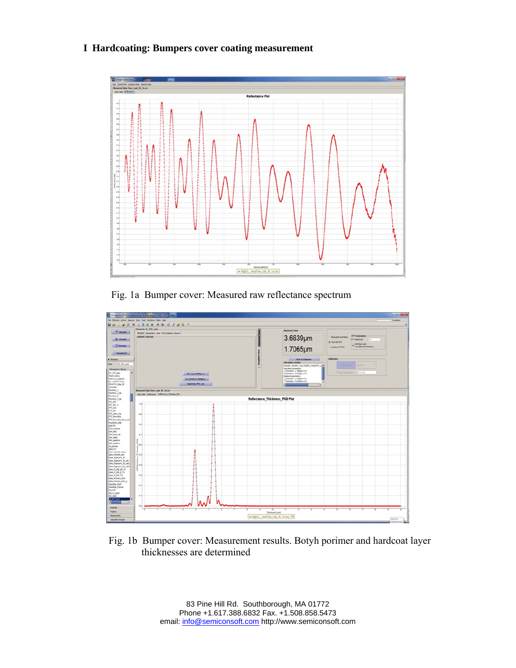# **I Hardcoating: Bumpers cover coating measurement**



Fig. 1a Bumper cover: Measured raw reflectance spectrum



 Fig. 1b Bumper cover: Measurement results. Botyh porimer and hardcoat layer thicknesses are determined

> 83 Pine Hill Rd. Southborough, MA 01772 Phone +1.617.388.6832 Fax. +1.508.858.5473 email: info@semiconsoft.com http://www.semiconsoft.com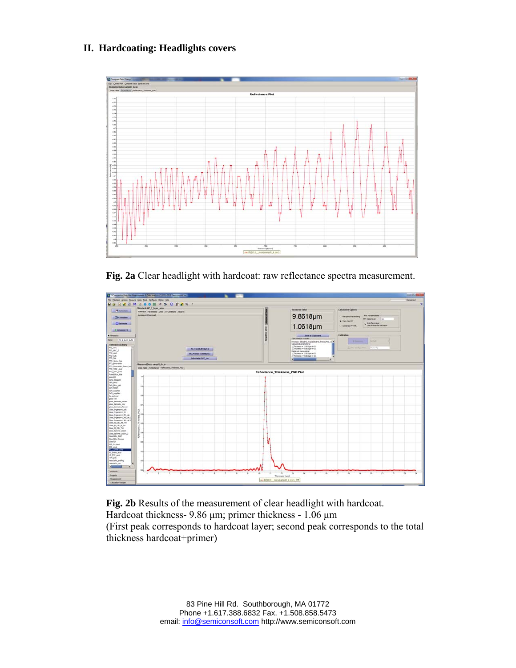## **II. Hardcoating: Headlights covers**



**Fig. 2a** Clear headlight with hardcoat: raw reflectance spectra measurement.



**Fig. 2b** Results of the measurement of clear headlight with hardcoat. Hardcoat thickness- 9.86 μm; primer thickness - 1.06 μm (First peak corresponds to hardcoat layer; second peak corresponds to the total thickness hardcoat+primer)

> 83 Pine Hill Rd. Southborough, MA 01772 Phone +1.617.388.6832 Fax. +1.508.858.5473 email: info@semiconsoft.com http://www.semiconsoft.com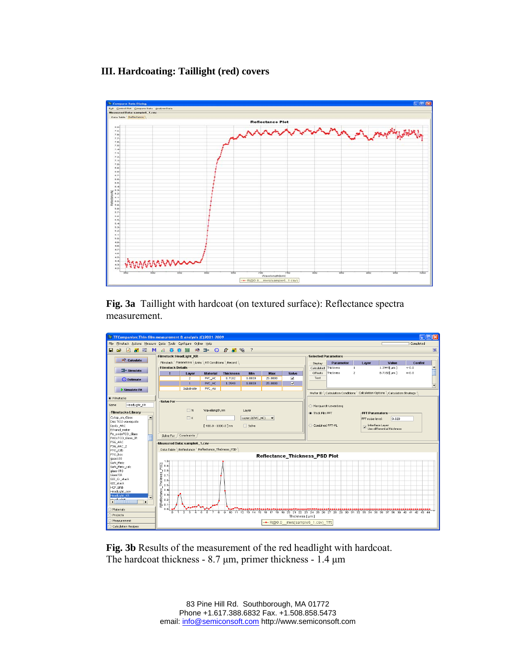### **III. Hardcoating: Taillight (red) covers**



**Fig. 3a** Taillight with hardcoat (on textured surface): Reflectance spectra measurement.



**Fig. 3b** Results of the measurement of the red headlight with hardcoat. The hardcoat thickness - 8.7 μm, primer thickness - 1.4 μm

> 83 Pine Hill Rd. Southborough, MA 01772 Phone +1.617.388.6832 Fax. +1.508.858.5473 email: info@semiconsoft.com http://www.semiconsoft.com